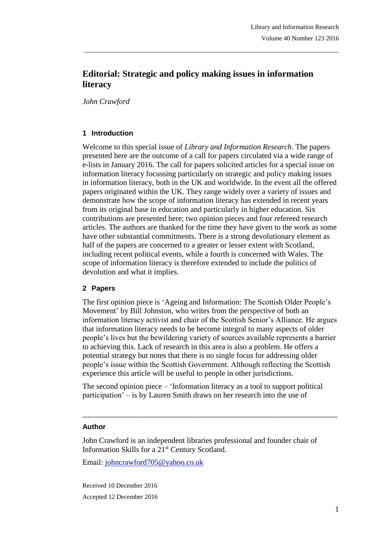# **Editorial: Strategic and policy making issues in information literacy**

\_\_\_\_\_\_\_\_\_\_\_\_\_\_\_\_\_\_\_\_\_\_\_\_\_\_\_\_\_\_\_\_\_\_\_\_\_\_\_\_\_\_\_\_\_\_\_\_\_\_\_\_\_\_\_\_\_\_\_\_\_\_\_\_\_\_\_\_\_\_\_\_\_\_\_\_\_\_\_

*John Crawford*

## **1 Introduction**

Welcome to this special issue of *Library and Information Research*. The papers presented here are the outcome of a call for papers circulated via a wide range of e-lists in January 2016. The call for papers solicited articles for a special issue on information literacy focussing particularly on strategic and policy making issues in information literacy, both in the UK and worldwide. In the event all the offered papers originated within the UK. They range widely over a variety of issues and demonstrate how the scope of information literacy has extended in recent years from its original base in education and particularly in higher education. Six contributions are presented here; two opinion pieces and four refereed research articles. The authors are thanked for the time they have given to the work as some have other substantial commitments. There is a strong devolutionary element as half of the papers are concerned to a greater or lesser extent with Scotland, including recent political events, while a fourth is concerned with Wales. The scope of information literacy is therefore extended to include the politics of devolution and what it implies.

### **2 Papers**

The first opinion piece is 'Ageing and Information: The Scottish Older People's Movement' by Bill Johnston, who writes from the perspective of both an information literacy activist and chair of the Scottish Senior's Alliance. He argues that information literacy needs to be become integral to many aspects of older people's lives but the bewildering variety of sources available represents a barrier to achieving this. Lack of research in this area is also a problem. He offers a potential strategy but notes that there is no single focus for addressing older people's issue within the Scottish Government. Although reflecting the Scottish experience this article will be useful to people in other jurisdictions.

The second opinion piece – 'Information literacy as a tool to support political participation' – is by Lauren Smith draws on her research into the use of

\_\_\_\_\_\_\_\_\_\_\_\_\_\_\_\_\_\_\_\_\_\_\_\_\_\_\_\_\_\_\_\_\_\_\_\_\_\_\_\_\_\_\_\_\_\_\_\_\_\_\_\_\_\_\_\_\_\_\_\_\_\_\_\_\_\_\_\_\_\_\_

#### **Author**

John Crawford is an independent libraries professional and founder chair of Information Skills for a 21st Century Scotland.

Email: [johncrawford705@yahoo.co.uk](mailto:johncrawford705@yahoo.co.uk)

Received 10 December 2016 Accepted 12 December 2016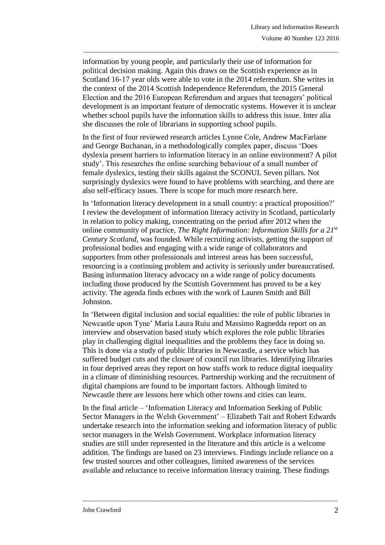information by young people, and particularly their use of information for political decision making. Again this draws on the Scottish experience as in Scotland 16-17 year olds were able to vote in the 2014 referendum. She writes in the context of the 2014 Scottish Independence Referendum, the 2015 General Election and the 2016 European Referendum and argues that teenagers' political development is an important feature of democratic systems. However it is unclear whether school pupils have the information skills to address this issue. Inter alia she discusses the role of librarians in supporting school pupils.

\_\_\_\_\_\_\_\_\_\_\_\_\_\_\_\_\_\_\_\_\_\_\_\_\_\_\_\_\_\_\_\_\_\_\_\_\_\_\_\_\_\_\_\_\_\_\_\_\_\_\_\_\_\_\_\_\_\_\_\_\_\_\_\_\_\_\_\_\_\_\_\_\_\_\_\_\_\_\_

In the first of four reviewed research articles Lynne Cole, Andrew MacFarlane and George Buchanan, in a methodologically complex paper, discuss 'Does dyslexia present barriers to information literacy in an online environment? A pilot study'. This researches the online searching behaviour of a small number of female dyslexics, testing their skills against the SCONUL Seven pillars. Not surprisingly dyslexics were found to have problems with searching, and there are also self-efficacy issues. There is scope for much more research here.

In 'Information literacy development in a small country: a practical proposition?' I review the development of information literacy activity in Scotland, particularly in relation to policy making, concentrating on the period after 2012 when the online community of practice, *The Right Information: Information Skills for a 21st Century Scotland*, was founded. While recruiting activists, getting the support of professional bodies and engaging with a wide range of collaborators and supporters from other professionals and interest areas has been successful, resourcing is a continuing problem and activity is seriously under bureaucratised. Basing information literacy advocacy on a wide range of policy documents including those produced by the Scottish Government has proved to be a key activity. The agenda finds echoes with the work of Lauren Smith and Bill Johnston.

In 'Between digital inclusion and social equalities: the role of public libraries in Newcastle upon Tyne' Maria Laura Ruiu and Massimo Ragnedda report on an interview and observation based study which explores the role public libraries play in challenging digital inequalities and the problems they face in doing so. This is done via a study of public libraries in Newcastle, a service which has suffered budget cuts and the closure of council run libraries. Identifying libraries in four deprived areas they report on how staffs work to reduce digital inequality in a climate of diminishing resources. Partnership working and the recruitment of digital champions are found to be important factors. Although limited to Newcastle there are lessons here which other towns and cities can learn.

In the final article – 'Information Literacy and Information Seeking of Public Sector Managers in the Welsh Government' – Elizabeth Tait and Robert Edwards undertake research into the information seeking and information literacy of public sector managers in the Welsh Government. Workplace information literacy studies are still under represented in the literature and this article is a welcome addition. The findings are based on 23 interviews. Findings include reliance on a few trusted sources and other colleagues, limited awareness of the services available and reluctance to receive information literacy training. These findings

\_\_\_\_\_\_\_\_\_\_\_\_\_\_\_\_\_\_\_\_\_\_\_\_\_\_\_\_\_\_\_\_\_\_\_\_\_\_\_\_\_\_\_\_\_\_\_\_\_\_\_\_\_\_\_\_\_\_\_\_\_\_\_\_\_\_\_\_\_\_\_\_\_\_\_\_\_\_\_